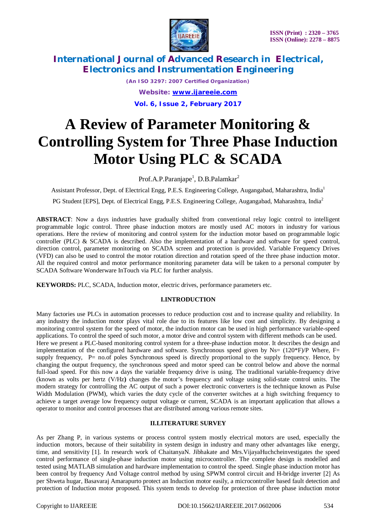

> *(An ISO 3297: 2007 Certified Organization) Website: [www.ijareeie.com](http://www.ijareeie.com)* **Vol. 6, Issue 2, February 2017**

# **A Review of Parameter Monitoring & Controlling System for Three Phase Induction Motor Using PLC & SCADA**

Prof.A.P.Paranjape<sup>1</sup>, D.B.Palamkar<sup>2</sup>

Assistant Professor, Dept. of Electrical Engg, P.E.S. Engineering College, Augangabad, Maharashtra, India<sup>1</sup> PG Student [EPS], Dept. of Electrical Engg, P.E.S. Engineering College, Augangabad, Maharashtra, India<sup>2</sup>

**ABSTRACT**: Now a days industries have gradually shifted from conventional relay logic control to intelligent programmable logic control. Three phase induction motors are mostly used AC motors in industry for various operations. Here the review of monitoring and control system for the induction motor based on programmable logic controller (PLC) & SCADA is described. Also the implementation of a hardware and software for speed control, direction control, parameter monitoring on SCADA screen and protection is provided. Variable Frequency Drives (VFD) can also be used to control the motor rotation direction and rotation speed of the three phase induction motor. All the required control and motor performance monitoring parameter data will be taken to a personal computer by SCADA Software Wonderware InTouch via PLC for further analysis.

**KEYWORDS:** PLC, SCADA, Induction motor, electric drives, performance parameters etc.

## **I.INTRODUCTION**

Many factories use PLCs in automation processes to reduce production cost and to increase quality and reliability. In any industry the induction motor plays vital role due to its features like low cost and simplicity. By designing a monitoring control system for the speed of motor, the induction motor can be used in high performance variable-speed applications. To control the speed of such motor, a motor drive and control system with different methods can be used. Here we present a PLC-based monitoring control system for a three-phase induction motor. It describes the design and implementation of the configured hardware and software. Synchronous speed given by Ns=  $(120*)/P$  Where, F= supply frequency, P= no.of poles Synchronous speed is directly proportional to the supply frequency. Hence, by changing the output frequency, the synchronous speed and motor speed can be control below and above the normal full-load speed. For this now a days the variable frequency drive is using. The traditional variable-frequency drive (known as volts per hertz (V/Hz**)** changes the motor's frequency and voltage using solid-state control units. The modern strategy for controlling the AC output of such a power electronic converters is the technique known as Pulse Width Modulation (PWM), which varies the duty cycle of the converter switches at a high switching frequency to achieve a target average low frequency output voltage or current, SCADA is an important application that allows a operator to monitor and control processes that are distributed among various remote sites.

#### **II.LITERATURE SURVEY**

As per Zhang P, in various systems or process control system mostly electrical motors are used, especially the induction motors, because of their suitability in system design in industry and many other advantages like energy, time, and sensitivity [1]. In research work of ChaitanyaN. Jibhakate and Mrs.VijayaHuchcheinvestigates the speed control performance of single-phase induction motor using microcontroller. The complete design is modelled and tested using MATLAB simulation and hardware implementation to control the speed. Single phase induction motor has been control by frequency And Voltage control method by using SPWM control circuit and H-bridge inverter [2] As per Shweta hugar, Basavaraj Amarapurto protect an Induction motor easily, a microcontroller based fault detection and protection of Induction motor proposed. This system tends to develop for protection of three phase induction motor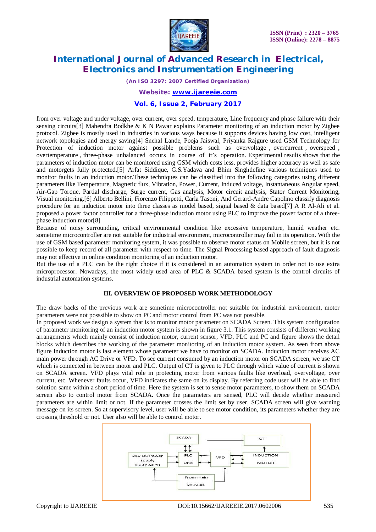

*(An ISO 3297: 2007 Certified Organization)*

*Website: [www.ijareeie.com](http://www.ijareeie.com)*

#### **Vol. 6, Issue 2, February 2017**

from over voltage and under voltage, over current, over speed, temperature, Line frequency and phase failure with their sensing circuits[3] Mahendra Bodkhe & K N Pawar explains Parameter monitoring of an induction motor by Zigbee protocol. Zigbee is mostly used in industries in various ways because it supports devices having low cost, intelligent network topologies and energy saving[4] Snehal Lande, Pooja Jaiswal, Priyanka Rajgure used GSM Technology for Protection of induction motor against possible problems such as overvoltage, overcurrent, overspeed, overtemperature , three-phase unbalanced occurs in course of it's operation. Experimental results shows that the parameters of induction motor can be monitored using GSM which costs less, provides higher accuracy as well as safe and motorgets fully protected.[5] Arfat Siddique, G.S.Yadava and Bhim Singhdefine various techniques used to monitor faults in an induction motor.These techniques can be classified into the following categories using different parameters like Temperature, Magnetic flux, Vibration, Power, Current, Induced voltage, Instantaneous Angular speed, Air-Gap Torque, Partial discharge, Surge current, Gas analysis, Motor circuit analysis, Stator Current Monitoring, Visual monitoring.[6] Alberto Bellini, Fiorenzo Filippetti, Carla Tasoni, And Gerard-Andre Capolino classify diagnosis procedure for an induction motor into three classes as model based, signal based & data based[7] A R Al-Ali et al. proposed a power factor controller for a three-phase induction motor using PLC to improve the power factor of a threephase induction motor[8]

Because of noisy surrounding, critical environmental condition like excessive temperature, humid weather etc. sometime microcontroller are not suitable for industrial environment, microcontroller may fail in its operation. With the use of GSM based parameter monitoring system, it was possible to observe motor status on Mobile screen, but it is not possible to keep record of all parameter with respect to time. The Signal Processing based approach of fault diagnosis may not effective in online condition monitoring of an induction motor.

But the use of a PLC can be the right choice if it is considered in an automation system in order not to use extra microprocessor. Nowadays, the most widely used area of PLC & SCADA based system is the control circuits of industrial automation systems.

## **III. OVERVIEW OF PROPOSED WORK METHODOLOGY**

The draw backs of the previous work are sometime microcontroller not suitable for industrial environment, motor parameters were not posssible to show on PC and motor control from PC was not possible.

In proposed work we design a system that is to monitor motor parameter on SCADA Screen. This system configuration of parameter monitoring of an induction motor system is shown in figure 3.1. This system consists of different working arrangements which mainly consist of induction motor, current sensor, VFD, PLC and PC and figure shows the detail blocks which describes the working of the parameter monitoring of an induction motor system. As seen from above figure Induction motor is last element whose parameter we have to monitor on SCADA. Induction motor receives AC main power through AC Drive or VFD. To see current consumed by an induction motor on SCADA screen, we use CT which is connected in between motor and PLC. Output of CT is given to PLC through which value of current is shown on SCADA screen. VFD plays vital role in protecting motor from various faults like overload, overvoltage, over current, etc. Whenever faults occur, VFD indicates the same on its display. By referring code user will be able to find solution same within a short period of time. Here the system is set to sense motor parameters, to show them on SCADA screen also to control motor from SCADA. Once the parameters are sensed, PLC will decide whether measured parameters are within limit or not. If the parameter crosses the limit set by user, SCADA screen will give warning message on its screen. So at supervisory level, user will be able to see motor condition, its parameters whether they are crossing threshold or not. User also will be able to control motor.

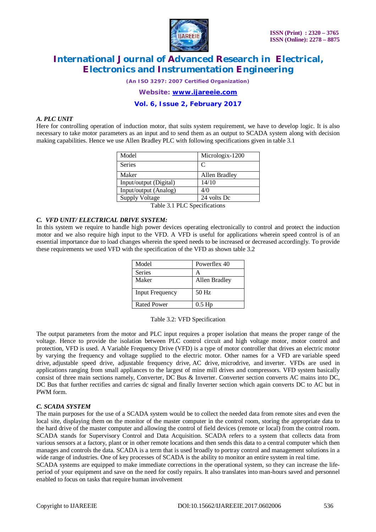

*(An ISO 3297: 2007 Certified Organization)*

*Website: [www.ijareeie.com](http://www.ijareeie.com)*

### **Vol. 6, Issue 2, February 2017**

#### *A. PLC UNIT*

Here for controlling operation of induction motor, that suits system requirement, we have to develop logic. It is also necessary to take motor parameters as an input and to send them as an output to SCADA system along with decision making capabilities. Hence we use Allen Bradley PLC with following specifications given in table 3.1

| Model                  | Micrologix-1200 |
|------------------------|-----------------|
| <b>Series</b>          | C               |
| Maker                  | Allen Bradley   |
| Input/output (Digital) | 14/10           |
| Input/output (Analog)  | 4/0             |
| <b>Supply Voltage</b>  | 24 volts Dc     |

Table 3.1 PLC Specifications

#### *C. VFD UNIT/ ELECTRICAL DRIVE SYSTEM:*

In this system we require to handle high power devices operating electronically to control and protect the induction motor and we also require high input to the VFD. A VFD is useful for applications wherein speed control is of an essential importance due to load changes wherein the speed needs to be increased or decreased accordingly. To provide these requirements we used VFD with the specification of the VFD as shown table 3.2

| Model                  | Powerflex 40  |
|------------------------|---------------|
| <b>Series</b>          |               |
| Maker                  | Allen Bradley |
| <b>Input Frequency</b> | $50$ Hz       |
| <b>Rated Power</b>     | $0.5$ Hp      |

Table 3.2: VFD Specification

The output parameters from the motor and PLC input requires a proper isolation that means the proper range of the voltage. Hence to provide the isolation between PLC control circuit and high voltage motor, motor control and protection, VFD is used. A Variable Frequency Drive (VFD) is a type of motor controller that drives an electric motor by varying the frequency and voltage supplied to the electric motor. Other names for a VFD are variable speed drive, adjustable speed drive, adjustable frequency drive, AC drive, microdrive, and inverter. VFDs are used in applications ranging from small appliances to the largest of mine mill drives and compressors. VFD system basically consist of three main sections namely, Converter, DC Bus & Inverter. Converter section converts AC mains into DC, DC Bus that further rectifies and carries dc signal and finally Inverter section which again converts DC to AC but in PWM form.

#### *C. SCADA SYSTEM*

The main purposes for the use of a SCADA system would be to collect the needed data from remote sites and even the local site, displaying them on the monitor of the master computer in the control room, storing the appropriate data to the hard drive of the master computer and allowing the control of field devices (remote or local) from the control room. SCADA stands for Supervisory Control and Data Acquisition. SCADA refers to a system that collects data from various sensors at a factory, plant or in other remote locations and then sends this data to a central computer which then manages and controls the data. SCADA is a term that is used broadly to portray control and management solutions in a wide range of industries. One of key processes of SCADA is the ability to monitor an entire system in real time. SCADA systems are equipped to make immediate corrections in the operational system, so they can increase the life-

period of your equipment and save on the need for costly repairs. It also translates into man-hours saved and personnel enabled to focus on tasks that require human involvement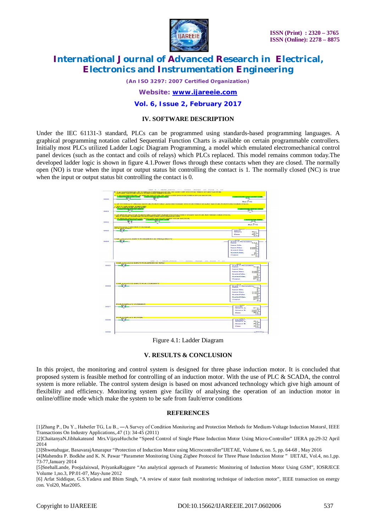

*(An ISO 3297: 2007 Certified Organization)*

*Website: [www.ijareeie.com](http://www.ijareeie.com)*

#### **Vol. 6, Issue 2, February 2017**

#### **IV. SOFTWARE DESCRIPTION**

Under the IEC 61131-3 standard, PLCs can be programmed using standards-based programming languages. A graphical programming notation called Sequential Function Charts is available on certain programmable controllers. Initially most PLCs utilized Ladder Logic Diagram Programming, a model which emulated electromechanical control panel devices (such as the contact and coils of relays) which PLCs replaced. This model remains common today.The developed ladder logic is shown in figure 4.1.Power flows through these contacts when they are closed. The normally open (NO) is true when the input or output status bit controlling the contact is 1. The normally closed (NC) is true when the input or output status bit controlling the contact is 0.



Figure 4.1: Ladder Diagram

## **V. RESULTS & CONCLUSION**

In this project, the monitoring and control system is designed for three phase induction motor. It is concluded that proposed system is feasible method for controlling of an induction motor. With the use of PLC & SCADA, the control system is more reliable. The control system design is based on most advanced technology which give high amount of flexibility and efficiency. Monitoring system give facility of analysing the operation of an induction motor in online/offline mode which make the system to be safe from fault/error conditions

#### **REFERENCES**

[1]Zhang P., Du Y., Habetler TG, Lu B., - A Survey of Condition Monitoring and Protection Methods for Medium-Voltage Induction Motorsl, IEEE Transactions On Industry Applications,.47 (1): 34-45 (2011)

[2]ChaitanyaN.Jibhakateand Mrs.VijayaHuchche "Speed Control of Single Phase Induction Motor Using Micro-Controller" IJERA pp.29-32 April 2014

[3]Shwetahugar, BasavarajAmarapur "Protection of Induction Motor using Microcontroller"IJETAE, Volume 6, no. 5, pp. 64-68 , May 2016

[4]Mahendra P. Bodkhe and K. N. Pawar "Parameter Monitoring Using Zigbee Protocol for Three Phase Induction Motor " IJETAE, Vol.4, no.1,pp. 73-77,January 2014

[5]SnehalLande, PoojaJaiswal, PriyankaRajgure "An analytical approach of Parametric Monitoring of Induction Motor Using GSM", IOSRJECE Volume 1,no.3, PP.01-07, May-June 2012

[6] Arfat Siddique, G.S.Yadava and Bhim Singh, "A review of stator fault monitoring technique of induction motor", IEEE transaction on energy con. Vol20, Mar2005.